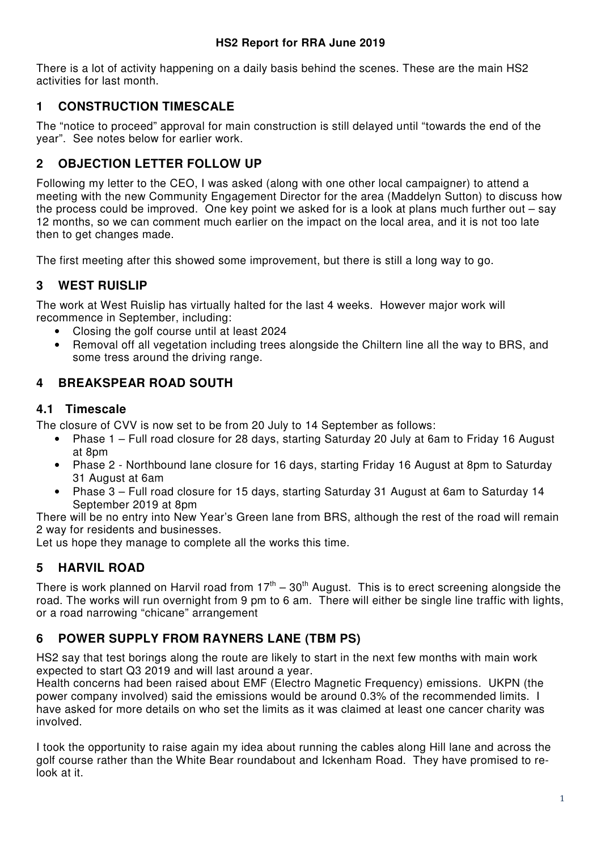There is a lot of activity happening on a daily basis behind the scenes. These are the main HS2 activities for last month.

# **1 CONSTRUCTION TIMESCALE**

The "notice to proceed" approval for main construction is still delayed until "towards the end of the year". See notes below for earlier work.

# **2 OBJECTION LETTER FOLLOW UP**

Following my letter to the CEO, I was asked (along with one other local campaigner) to attend a meeting with the new Community Engagement Director for the area (Maddelyn Sutton) to discuss how the process could be improved. One key point we asked for is a look at plans much further out – say 12 months, so we can comment much earlier on the impact on the local area, and it is not too late then to get changes made.

The first meeting after this showed some improvement, but there is still a long way to go.

# **3 WEST RUISLIP**

The work at West Ruislip has virtually halted for the last 4 weeks. However major work will recommence in September, including:

- Closing the golf course until at least 2024
- Removal off all vegetation including trees alongside the Chiltern line all the way to BRS, and some tress around the driving range.

## **4 BREAKSPEAR ROAD SOUTH**

### **4.1 Timescale**

The closure of CVV is now set to be from 20 July to 14 September as follows:

- Phase 1 Full road closure for 28 days, starting Saturday 20 July at 6am to Friday 16 August at 8pm
- Phase 2 Northbound lane closure for 16 days, starting Friday 16 August at 8pm to Saturday 31 August at 6am
- Phase 3 Full road closure for 15 days, starting Saturday 31 August at 6am to Saturday 14 September 2019 at 8pm

There will be no entry into New Year's Green lane from BRS, although the rest of the road will remain 2 way for residents and businesses.

Let us hope they manage to complete all the works this time.

## **5 HARVIL ROAD**

There is work planned on Harvil road from  $17<sup>th</sup> - 30<sup>th</sup>$  August. This is to erect screening alongside the road. The works will run overnight from 9 pm to 6 am. There will either be single line traffic with lights, or a road narrowing "chicane" arrangement

# **6 POWER SUPPLY FROM RAYNERS LANE (TBM PS)**

HS2 say that test borings along the route are likely to start in the next few months with main work expected to start Q3 2019 and will last around a year.

Health concerns had been raised about EMF (Electro Magnetic Frequency) emissions. UKPN (the power company involved) said the emissions would be around 0.3% of the recommended limits. I have asked for more details on who set the limits as it was claimed at least one cancer charity was involved.

I took the opportunity to raise again my idea about running the cables along Hill lane and across the golf course rather than the White Bear roundabout and Ickenham Road. They have promised to relook at it.